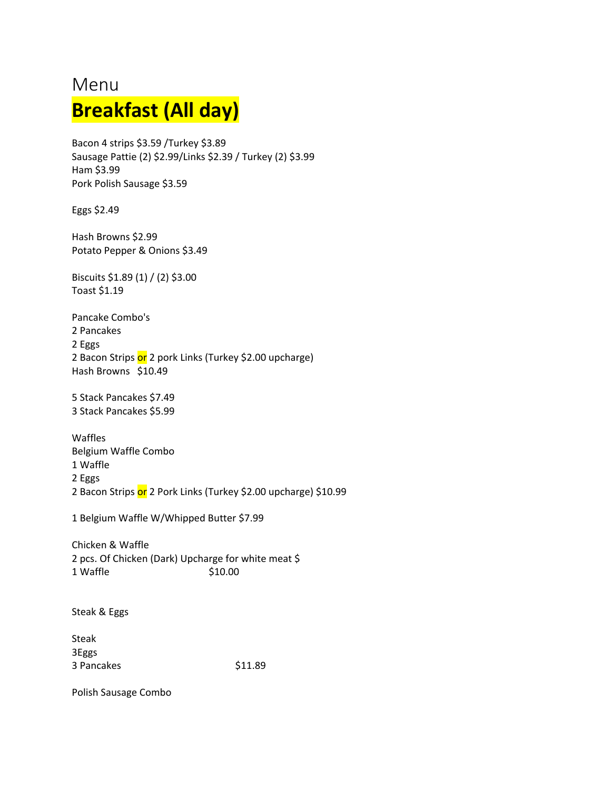# Menu **Breakfast (All day)**

Bacon 4 strips \$3.59 /Turkey \$3.89 Sausage Pattie (2) \$2.99/Links \$2.39 / Turkey (2) \$3.99 Ham \$3.99 Pork Polish Sausage \$3.59

Eggs \$2.49

Hash Browns \$2.99 Potato Pepper & Onions \$3.49

Biscuits \$1.89 (1) / (2) \$3.00 Toast \$1.19

Pancake Combo's 2 Pancakes 2 Eggs 2 Bacon Strips or 2 pork Links (Turkey \$2.00 upcharge) Hash Browns \$10.49

5 Stack Pancakes \$7.49 3 Stack Pancakes \$5.99

Waffles Belgium Waffle Combo 1 Waffle 2 Eggs 2 Bacon Strips or 2 Pork Links (Turkey \$2.00 upcharge) \$10.99

1 Belgium Waffle W/Whipped Butter \$7.99

Chicken & Waffle 2 pcs. Of Chicken (Dark) Upcharge for white meat \$ 1 Waffle  $$10.00$ 

Steak & Eggs

Steak 3Eggs 3 Pancakes \$11.89

Polish Sausage Combo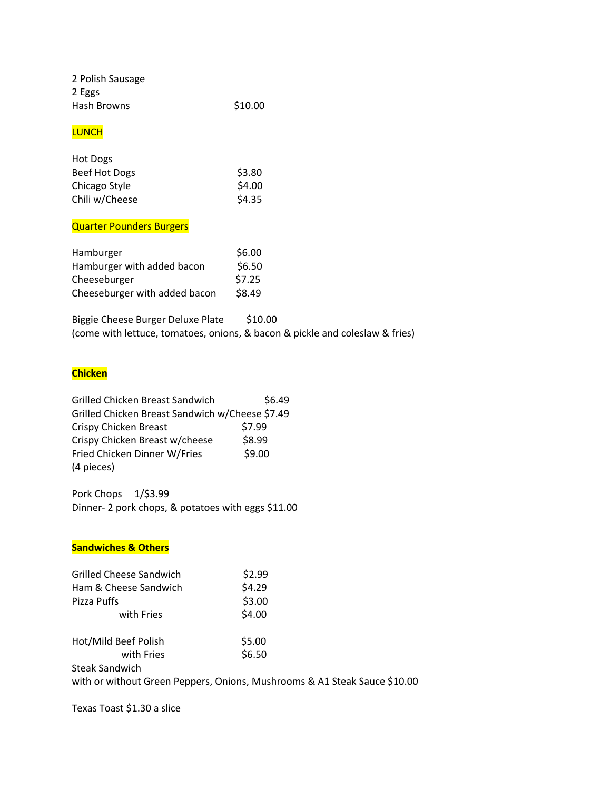| 2 Polish Sausage |         |
|------------------|---------|
| 2 Eggs           |         |
| Hash Browns      | \$10.00 |

## **LUNCH**

| Hot Dogs       |        |
|----------------|--------|
| Beef Hot Dogs  | \$3.80 |
| Chicago Style  | \$4.00 |
| Chili w/Cheese | \$4.35 |

## Quarter Pounders Burgers

| Hamburger                     | \$6.00 |
|-------------------------------|--------|
| Hamburger with added bacon    | \$6.50 |
| Cheeseburger                  | \$7.25 |
| Cheeseburger with added bacon | \$8.49 |

Biggie Cheese Burger Deluxe Plate \$10.00 (come with lettuce, tomatoes, onions, & bacon & pickle and coleslaw & fries)

# **Chicken**

| \$6.49                                          |
|-------------------------------------------------|
| Grilled Chicken Breast Sandwich w/Cheese \$7.49 |
| \$7.99                                          |
| \$8.99                                          |
| \$9.00                                          |
|                                                 |
|                                                 |

Pork Chops 1/\$3.99 Dinner- 2 pork chops, & potatoes with eggs \$11.00

## **Sandwiches & Others**

| <b>Grilled Cheese Sandwich</b>                                            | \$2.99 |  |
|---------------------------------------------------------------------------|--------|--|
| Ham & Cheese Sandwich                                                     | \$4.29 |  |
| Pizza Puffs                                                               | \$3.00 |  |
| with Fries                                                                | \$4.00 |  |
| Hot/Mild Beef Polish                                                      | \$5.00 |  |
| with Fries                                                                | \$6.50 |  |
| <b>Steak Sandwich</b>                                                     |        |  |
| with or without Green Peppers, Onions, Mushrooms & A1 Steak Sauce \$10.00 |        |  |
|                                                                           |        |  |

Texas Toast \$1.30 a slice